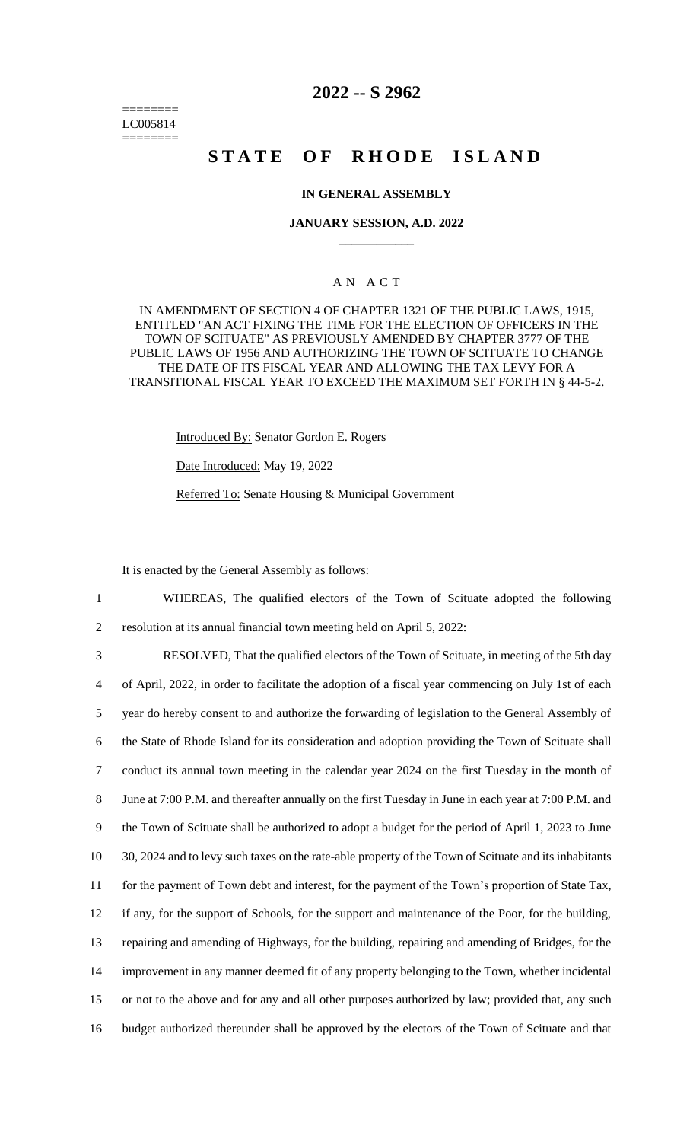======== LC005814 ========

# **2022 -- S 2962**

# **STATE OF RHODE ISLAND**

#### **IN GENERAL ASSEMBLY**

#### **JANUARY SESSION, A.D. 2022 \_\_\_\_\_\_\_\_\_\_\_\_**

## A N A C T

IN AMENDMENT OF SECTION 4 OF CHAPTER 1321 OF THE PUBLIC LAWS, 1915, ENTITLED "AN ACT FIXING THE TIME FOR THE ELECTION OF OFFICERS IN THE TOWN OF SCITUATE" AS PREVIOUSLY AMENDED BY CHAPTER 3777 OF THE PUBLIC LAWS OF 1956 AND AUTHORIZING THE TOWN OF SCITUATE TO CHANGE THE DATE OF ITS FISCAL YEAR AND ALLOWING THE TAX LEVY FOR A TRANSITIONAL FISCAL YEAR TO EXCEED THE MAXIMUM SET FORTH IN § 44-5-2.

Introduced By: Senator Gordon E. Rogers

Date Introduced: May 19, 2022

Referred To: Senate Housing & Municipal Government

It is enacted by the General Assembly as follows:

1 WHEREAS, The qualified electors of the Town of Scituate adopted the following 2 resolution at its annual financial town meeting held on April 5, 2022:

 RESOLVED, That the qualified electors of the Town of Scituate, in meeting of the 5th day of April, 2022, in order to facilitate the adoption of a fiscal year commencing on July 1st of each year do hereby consent to and authorize the forwarding of legislation to the General Assembly of the State of Rhode Island for its consideration and adoption providing the Town of Scituate shall conduct its annual town meeting in the calendar year 2024 on the first Tuesday in the month of June at 7:00 P.M. and thereafter annually on the first Tuesday in June in each year at 7:00 P.M. and the Town of Scituate shall be authorized to adopt a budget for the period of April 1, 2023 to June 30, 2024 and to levy such taxes on the rate-able property of the Town of Scituate and its inhabitants for the payment of Town debt and interest, for the payment of the Town's proportion of State Tax, if any, for the support of Schools, for the support and maintenance of the Poor, for the building, repairing and amending of Highways, for the building, repairing and amending of Bridges, for the improvement in any manner deemed fit of any property belonging to the Town, whether incidental or not to the above and for any and all other purposes authorized by law; provided that, any such budget authorized thereunder shall be approved by the electors of the Town of Scituate and that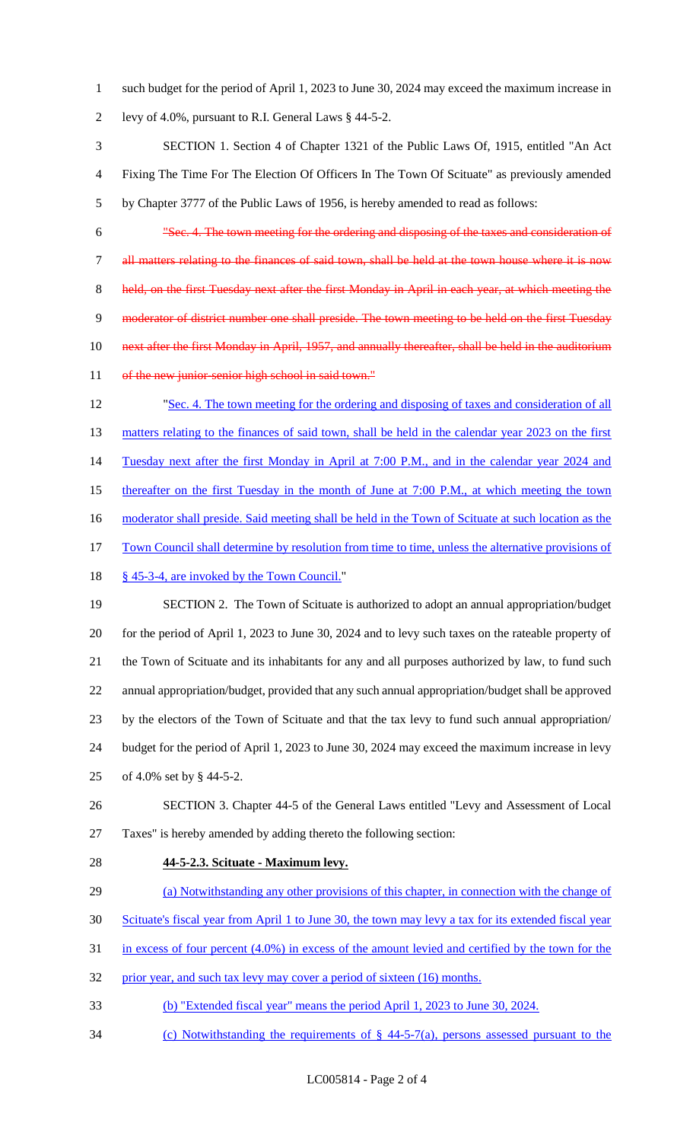- such budget for the period of April 1, 2023 to June 30, 2024 may exceed the maximum increase in levy of 4.0%, pursuant to R.I. General Laws § 44-5-2.
- SECTION 1. Section 4 of Chapter 1321 of the Public Laws Of, 1915, entitled "An Act Fixing The Time For The Election Of Officers In The Town Of Scituate" as previously amended by Chapter 3777 of the Public Laws of 1956, is hereby amended to read as follows:
- "Sec. 4. The town meeting for the ordering and disposing of the taxes and consideration of all matters relating to the finances of said town, shall be held at the town house where it is now 8 held, on the first Tuesday next after the first Monday in April in each year, at which meeting the 9 moderator of district number one shall preside. The town meeting to be held on the first Tuesday next after the first Monday in April, 1957, and annually thereafter, shall be held in the auditorium 11 of the new junior-senior high school in said town."
- "Sec. 4. The town meeting for the ordering and disposing of taxes and consideration of all 13 matters relating to the finances of said town, shall be held in the calendar year 2023 on the first 14 Tuesday next after the first Monday in April at 7:00 P.M., and in the calendar year 2024 and thereafter on the first Tuesday in the month of June at 7:00 P.M., at which meeting the town 16 moderator shall preside. Said meeting shall be held in the Town of Scituate at such location as the Town Council shall determine by resolution from time to time, unless the alternative provisions of § 45-3-4, are invoked by the Town Council."
- SECTION 2. The Town of Scituate is authorized to adopt an annual appropriation/budget for the period of April 1, 2023 to June 30, 2024 and to levy such taxes on the rateable property of the Town of Scituate and its inhabitants for any and all purposes authorized by law, to fund such annual appropriation/budget, provided that any such annual appropriation/budget shall be approved by the electors of the Town of Scituate and that the tax levy to fund such annual appropriation/ budget for the period of April 1, 2023 to June 30, 2024 may exceed the maximum increase in levy of 4.0% set by § 44-5-2.
- SECTION 3. Chapter 44-5 of the General Laws entitled "Levy and Assessment of Local Taxes" is hereby amended by adding thereto the following section:
- 

## **44-5-2.3. Scituate - Maximum levy.**

- (a) Notwithstanding any other provisions of this chapter, in connection with the change of
- Scituate's fiscal year from April 1 to June 30, the town may levy a tax for its extended fiscal year
- in excess of four percent (4.0%) in excess of the amount levied and certified by the town for the
- 32 prior year, and such tax levy may cover a period of sixteen (16) months.
- (b) "Extended fiscal year" means the period April 1, 2023 to June 30, 2024.
- (c) Notwithstanding the requirements of § 44-5-7(a), persons assessed pursuant to the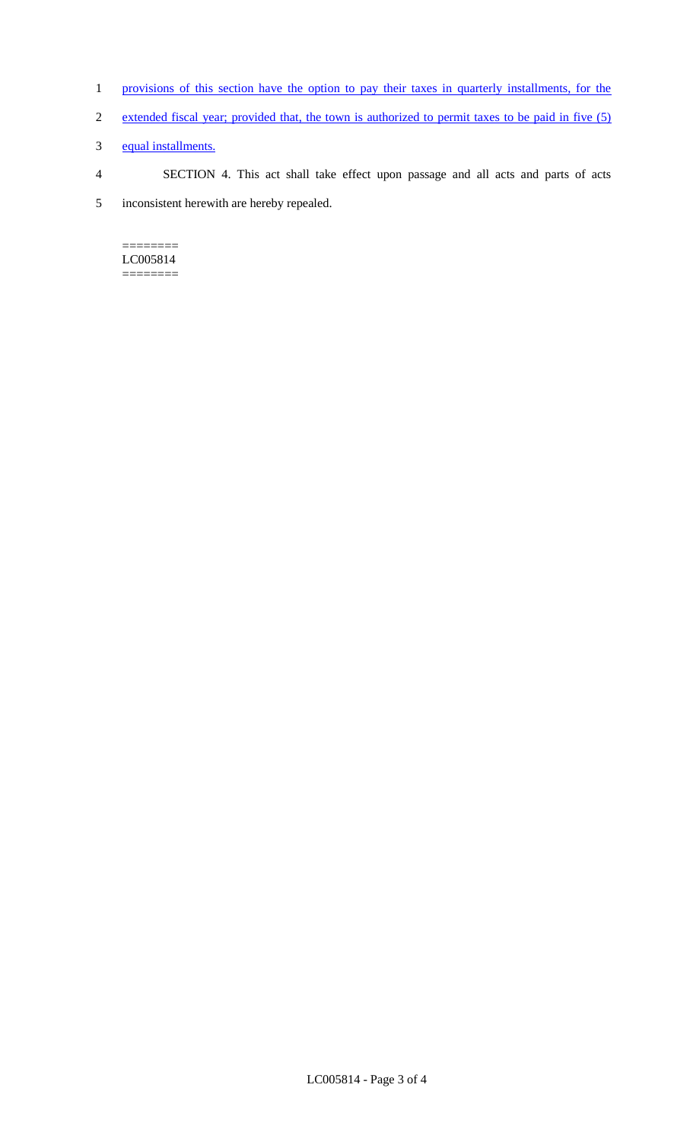- 1 provisions of this section have the option to pay their taxes in quarterly installments, for the
- 2 extended fiscal year; provided that, the town is authorized to permit taxes to be paid in five (5)
- 3 equal installments.

4 SECTION 4. This act shall take effect upon passage and all acts and parts of acts 5 inconsistent herewith are hereby repealed.

 $=$ LC005814 ========